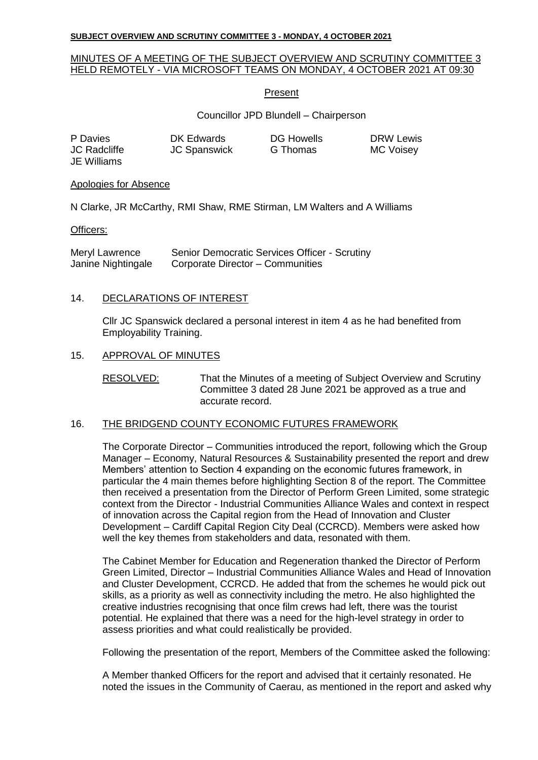# MINUTES OF A MEETING OF THE SUBJECT OVERVIEW AND SCRUTINY COMMITTEE 3 HELD REMOTELY - VIA MICROSOFT TEAMS ON MONDAY, 4 OCTOBER 2021 AT 09:30

### Present

# Councillor JPD Blundell – Chairperson

| P Davies           |  |
|--------------------|--|
| JC Radcliffe       |  |
| <b>JE Williams</b> |  |

JC Spanswick G Thomas MC Voisey

DK Edwards DG Howells DRW Lewis

#### Apologies for Absence

N Clarke, JR McCarthy, RMI Shaw, RME Stirman, LM Walters and A Williams

### Officers:

Meryl Lawrence Janine Nightingale Senior Democratic Services Officer - Scrutiny Corporate Director – Communities

### 14. DECLARATIONS OF INTEREST

Cllr JC Spanswick declared a personal interest in item 4 as he had benefited from Employability Training.

### 15. APPROVAL OF MINUTES

RESOLVED: That the Minutes of a meeting of Subject Overview and Scrutiny Committee 3 dated 28 June 2021 be approved as a true and accurate record.

### 16. THE BRIDGEND COUNTY ECONOMIC FUTURES FRAMEWORK

The Corporate Director – Communities introduced the report, following which the Group Manager – Economy, Natural Resources & Sustainability presented the report and drew Members' attention to Section 4 expanding on the economic futures framework, in particular the 4 main themes before highlighting Section 8 of the report. The Committee then received a presentation from the Director of Perform Green Limited, some strategic context from the Director - Industrial Communities Alliance Wales and context in respect of innovation across the Capital region from the Head of Innovation and Cluster Development – Cardiff Capital Region City Deal (CCRCD). Members were asked how well the key themes from stakeholders and data, resonated with them.

The Cabinet Member for Education and Regeneration thanked the Director of Perform Green Limited, Director – Industrial Communities Alliance Wales and Head of Innovation and Cluster Development, CCRCD. He added that from the schemes he would pick out skills, as a priority as well as connectivity including the metro. He also highlighted the creative industries recognising that once film crews had left, there was the tourist potential. He explained that there was a need for the high-level strategy in order to assess priorities and what could realistically be provided.

Following the presentation of the report, Members of the Committee asked the following:

A Member thanked Officers for the report and advised that it certainly resonated. He noted the issues in the Community of Caerau, as mentioned in the report and asked why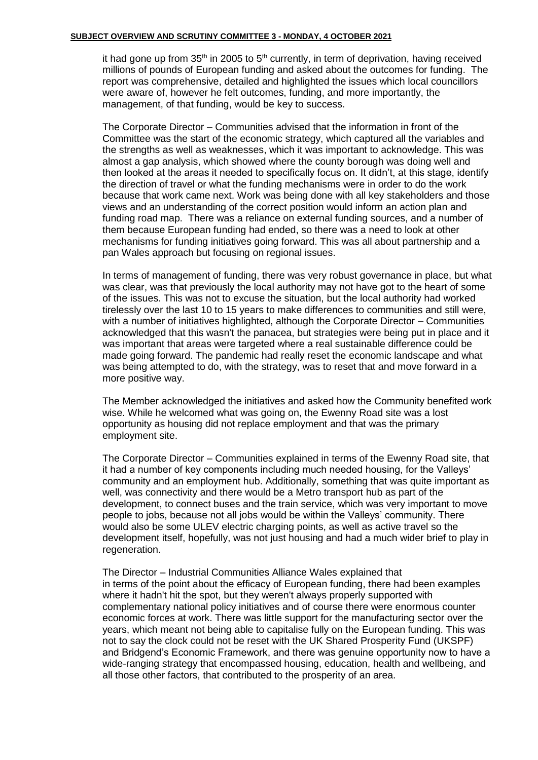it had gone up from  $35<sup>th</sup>$  in 2005 to  $5<sup>th</sup>$  currently, in term of deprivation, having received millions of pounds of European funding and asked about the outcomes for funding. The report was comprehensive, detailed and highlighted the issues which local councillors were aware of, however he felt outcomes, funding, and more importantly, the management, of that funding, would be key to success.

The Corporate Director – Communities advised that the information in front of the Committee was the start of the economic strategy, which captured all the variables and the strengths as well as weaknesses, which it was important to acknowledge. This was almost a gap analysis, which showed where the county borough was doing well and then looked at the areas it needed to specifically focus on. It didn't, at this stage, identify the direction of travel or what the funding mechanisms were in order to do the work because that work came next. Work was being done with all key stakeholders and those views and an understanding of the correct position would inform an action plan and funding road map. There was a reliance on external funding sources, and a number of them because European funding had ended, so there was a need to look at other mechanisms for funding initiatives going forward. This was all about partnership and a pan Wales approach but focusing on regional issues.

In terms of management of funding, there was very robust governance in place, but what was clear, was that previously the local authority may not have got to the heart of some of the issues. This was not to excuse the situation, but the local authority had worked tirelessly over the last 10 to 15 years to make differences to communities and still were, with a number of initiatives highlighted, although the Corporate Director – Communities acknowledged that this wasn't the panacea, but strategies were being put in place and it was important that areas were targeted where a real sustainable difference could be made going forward. The pandemic had really reset the economic landscape and what was being attempted to do, with the strategy, was to reset that and move forward in a more positive way.

The Member acknowledged the initiatives and asked how the Community benefited work wise. While he welcomed what was going on, the Ewenny Road site was a lost opportunity as housing did not replace employment and that was the primary employment site.

The Corporate Director – Communities explained in terms of the Ewenny Road site, that it had a number of key components including much needed housing, for the Valleys' community and an employment hub. Additionally, something that was quite important as well, was connectivity and there would be a Metro transport hub as part of the development, to connect buses and the train service, which was very important to move people to jobs, because not all jobs would be within the Valleys' community. There would also be some ULEV electric charging points, as well as active travel so the development itself, hopefully, was not just housing and had a much wider brief to play in regeneration.

The Director – Industrial Communities Alliance Wales explained that in terms of the point about the efficacy of European funding, there had been examples where it hadn't hit the spot, but they weren't always properly supported with complementary national policy initiatives and of course there were enormous counter economic forces at work. There was little support for the manufacturing sector over the years, which meant not being able to capitalise fully on the European funding. This was not to say the clock could not be reset with the UK Shared Prosperity Fund (UKSPF) and Bridgend's Economic Framework, and there was genuine opportunity now to have a wide-ranging strategy that encompassed housing, education, health and wellbeing, and all those other factors, that contributed to the prosperity of an area.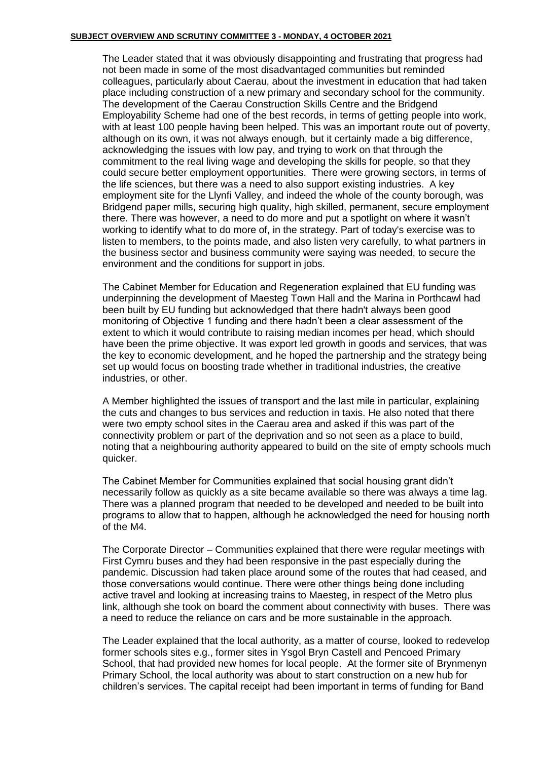The Leader stated that it was obviously disappointing and frustrating that progress had not been made in some of the most disadvantaged communities but reminded colleagues, particularly about Caerau, about the investment in education that had taken place including construction of a new primary and secondary school for the community. The development of the Caerau Construction Skills Centre and the Bridgend Employability Scheme had one of the best records, in terms of getting people into work, with at least 100 people having been helped. This was an important route out of poverty, although on its own, it was not always enough, but it certainly made a big difference, acknowledging the issues with low pay, and trying to work on that through the commitment to the real living wage and developing the skills for people, so that they could secure better employment opportunities. There were growing sectors, in terms of the life sciences, but there was a need to also support existing industries. A key employment site for the Llynfi Valley, and indeed the whole of the county borough, was Bridgend paper mills, securing high quality, high skilled, permanent, secure employment there. There was however, a need to do more and put a spotlight on where it wasn't working to identify what to do more of, in the strategy. Part of today's exercise was to listen to members, to the points made, and also listen very carefully, to what partners in the business sector and business community were saying was needed, to secure the environment and the conditions for support in jobs.

The Cabinet Member for Education and Regeneration explained that EU funding was underpinning the development of Maesteg Town Hall and the Marina in Porthcawl had been built by EU funding but acknowledged that there hadn't always been good monitoring of Objective 1 funding and there hadn't been a clear assessment of the extent to which it would contribute to raising median incomes per head, which should have been the prime objective. It was export led growth in goods and services, that was the key to economic development, and he hoped the partnership and the strategy being set up would focus on boosting trade whether in traditional industries, the creative industries, or other.

A Member highlighted the issues of transport and the last mile in particular, explaining the cuts and changes to bus services and reduction in taxis. He also noted that there were two empty school sites in the Caerau area and asked if this was part of the connectivity problem or part of the deprivation and so not seen as a place to build, noting that a neighbouring authority appeared to build on the site of empty schools much quicker.

The Cabinet Member for Communities explained that social housing grant didn't necessarily follow as quickly as a site became available so there was always a time lag. There was a planned program that needed to be developed and needed to be built into programs to allow that to happen, although he acknowledged the need for housing north of the M4.

The Corporate Director – Communities explained that there were regular meetings with First Cymru buses and they had been responsive in the past especially during the pandemic. Discussion had taken place around some of the routes that had ceased, and those conversations would continue. There were other things being done including active travel and looking at increasing trains to Maesteg, in respect of the Metro plus link, although she took on board the comment about connectivity with buses. There was a need to reduce the reliance on cars and be more sustainable in the approach.

The Leader explained that the local authority, as a matter of course, looked to redevelop former schools sites e.g., former sites in Ysgol Bryn Castell and Pencoed Primary School, that had provided new homes for local people. At the former site of Brynmenyn Primary School, the local authority was about to start construction on a new hub for children's services. The capital receipt had been important in terms of funding for Band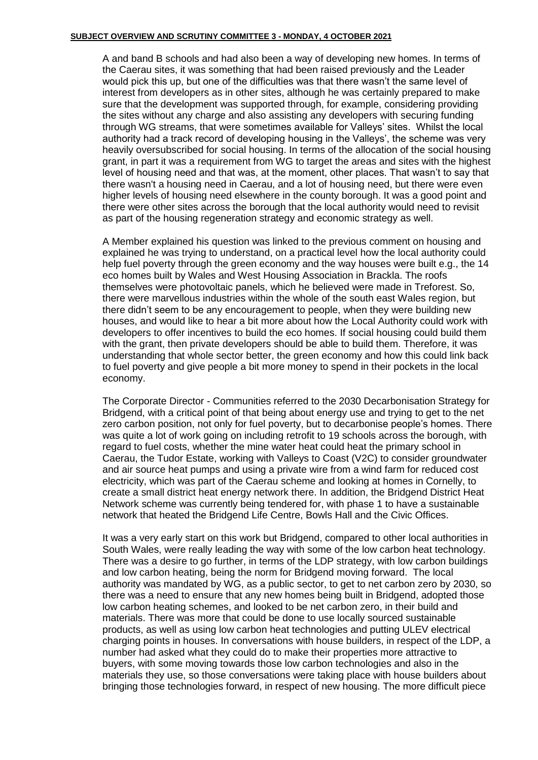A and band B schools and had also been a way of developing new homes. In terms of the Caerau sites, it was something that had been raised previously and the Leader would pick this up, but one of the difficulties was that there wasn't the same level of interest from developers as in other sites, although he was certainly prepared to make sure that the development was supported through, for example, considering providing the sites without any charge and also assisting any developers with securing funding through WG streams, that were sometimes available for Valleys' sites. Whilst the local authority had a track record of developing housing in the Valleys', the scheme was very heavily oversubscribed for social housing. In terms of the allocation of the social housing grant, in part it was a requirement from WG to target the areas and sites with the highest level of housing need and that was, at the moment, other places. That wasn't to say that there wasn't a housing need in Caerau, and a lot of housing need, but there were even higher levels of housing need elsewhere in the county borough. It was a good point and there were other sites across the borough that the local authority would need to revisit as part of the housing regeneration strategy and economic strategy as well.

A Member explained his question was linked to the previous comment on housing and explained he was trying to understand, on a practical level how the local authority could help fuel poverty through the green economy and the way houses were built e.g., the 14 eco homes built by Wales and West Housing Association in Brackla. The roofs themselves were photovoltaic panels, which he believed were made in Treforest. So, there were marvellous industries within the whole of the south east Wales region, but there didn't seem to be any encouragement to people, when they were building new houses, and would like to hear a bit more about how the Local Authority could work with developers to offer incentives to build the eco homes. If social housing could build them with the grant, then private developers should be able to build them. Therefore, it was understanding that whole sector better, the green economy and how this could link back to fuel poverty and give people a bit more money to spend in their pockets in the local economy.

The Corporate Director - Communities referred to the 2030 Decarbonisation Strategy for Bridgend, with a critical point of that being about energy use and trying to get to the net zero carbon position, not only for fuel poverty, but to decarbonise people's homes. There was quite a lot of work going on including retrofit to 19 schools across the borough, with regard to fuel costs, whether the mine water heat could heat the primary school in Caerau, the Tudor Estate, working with Valleys to Coast (V2C) to consider groundwater and air source heat pumps and using a private wire from a wind farm for reduced cost electricity, which was part of the Caerau scheme and looking at homes in Cornelly, to create a small district heat energy network there. In addition, the Bridgend District Heat Network scheme was currently being tendered for, with phase 1 to have a sustainable network that heated the Bridgend Life Centre, Bowls Hall and the Civic Offices.

It was a very early start on this work but Bridgend, compared to other local authorities in South Wales, were really leading the way with some of the low carbon heat technology. There was a desire to go further, in terms of the LDP strategy, with low carbon buildings and low carbon heating, being the norm for Bridgend moving forward. The local authority was mandated by WG, as a public sector, to get to net carbon zero by 2030, so there was a need to ensure that any new homes being built in Bridgend, adopted those low carbon heating schemes, and looked to be net carbon zero, in their build and materials. There was more that could be done to use locally sourced sustainable products, as well as using low carbon heat technologies and putting ULEV electrical charging points in houses. In conversations with house builders, in respect of the LDP, a number had asked what they could do to make their properties more attractive to buyers, with some moving towards those low carbon technologies and also in the materials they use, so those conversations were taking place with house builders about bringing those technologies forward, in respect of new housing. The more difficult piece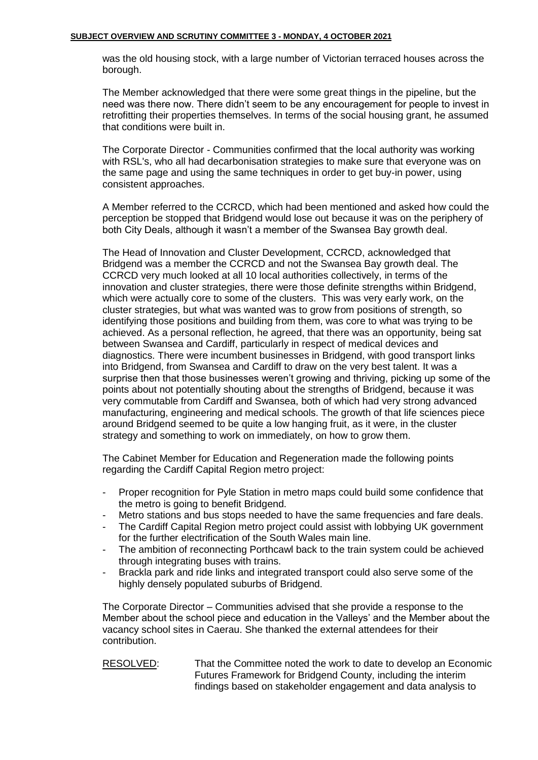was the old housing stock, with a large number of Victorian terraced houses across the borough.

The Member acknowledged that there were some great things in the pipeline, but the need was there now. There didn't seem to be any encouragement for people to invest in retrofitting their properties themselves. In terms of the social housing grant, he assumed that conditions were built in.

The Corporate Director - Communities confirmed that the local authority was working with RSL's, who all had decarbonisation strategies to make sure that everyone was on the same page and using the same techniques in order to get buy-in power, using consistent approaches.

A Member referred to the CCRCD, which had been mentioned and asked how could the perception be stopped that Bridgend would lose out because it was on the periphery of both City Deals, although it wasn't a member of the Swansea Bay growth deal.

The Head of Innovation and Cluster Development, CCRCD, acknowledged that Bridgend was a member the CCRCD and not the Swansea Bay growth deal. The CCRCD very much looked at all 10 local authorities collectively, in terms of the innovation and cluster strategies, there were those definite strengths within Bridgend, which were actually core to some of the clusters. This was very early work, on the cluster strategies, but what was wanted was to grow from positions of strength, so identifying those positions and building from them, was core to what was trying to be achieved. As a personal reflection, he agreed, that there was an opportunity, being sat between Swansea and Cardiff, particularly in respect of medical devices and diagnostics. There were incumbent businesses in Bridgend, with good transport links into Bridgend, from Swansea and Cardiff to draw on the very best talent. It was a surprise then that those businesses weren't growing and thriving, picking up some of the points about not potentially shouting about the strengths of Bridgend, because it was very commutable from Cardiff and Swansea, both of which had very strong advanced manufacturing, engineering and medical schools. The growth of that life sciences piece around Bridgend seemed to be quite a low hanging fruit, as it were, in the cluster strategy and something to work on immediately, on how to grow them.

The Cabinet Member for Education and Regeneration made the following points regarding the Cardiff Capital Region metro project:

- Proper recognition for Pyle Station in metro maps could build some confidence that the metro is going to benefit Bridgend.
- Metro stations and bus stops needed to have the same frequencies and fare deals.
- The Cardiff Capital Region metro project could assist with lobbying UK government for the further electrification of the South Wales main line.
- The ambition of reconnecting Porthcawl back to the train system could be achieved through integrating buses with trains.
- Brackla park and ride links and integrated transport could also serve some of the highly densely populated suburbs of Bridgend.

The Corporate Director – Communities advised that she provide a response to the Member about the school piece and education in the Valleys' and the Member about the vacancy school sites in Caerau. She thanked the external attendees for their contribution.

RESOLVED: That the Committee noted the work to date to develop an Economic Futures Framework for Bridgend County, including the interim findings based on stakeholder engagement and data analysis to